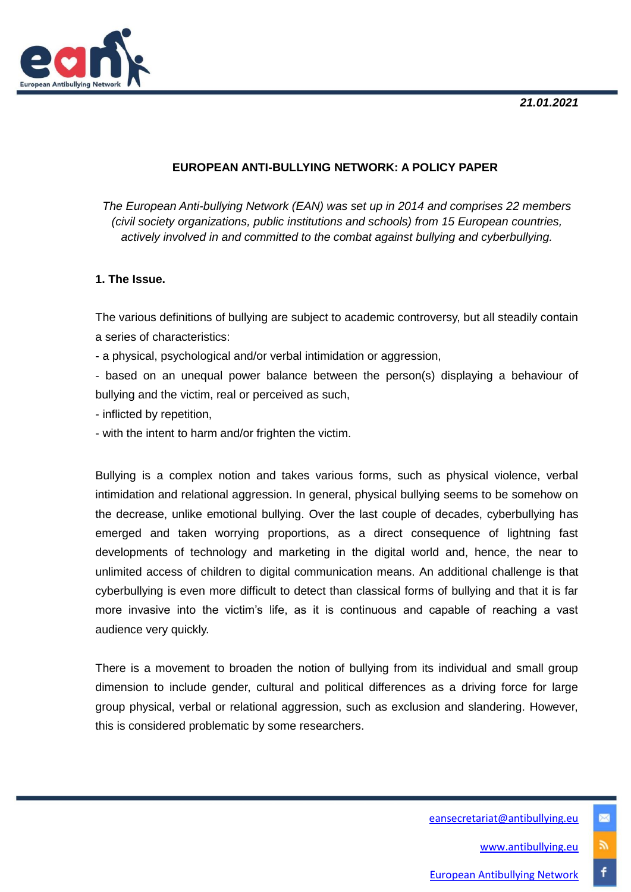

# **EUROPEAN ANTI-BULLYING NETWORK: A POLICY PAPER**

*The European Anti-bullying Network (EAN) was set up in 2014 and comprises 22 members (civil society organizations, public institutions and schools) from 15 European countries, actively involved in and committed to the combat against bullying and cyberbullying.*

## **1. The Issue.**

The various definitions of bullying are subject to academic controversy, but all steadily contain a series of characteristics:

- a physical, psychological and/or verbal intimidation or aggression,

- based on an unequal power balance between the person(s) displaying a behaviour of bullying and the victim, real or perceived as such,

- inflicted by repetition,
- with the intent to harm and/or frighten the victim.

Bullying is a complex notion and takes various forms, such as physical violence, verbal intimidation and relational aggression. In general, physical bullying seems to be somehow on the decrease, unlike emotional bullying. Over the last couple of decades, cyberbullying has emerged and taken worrying proportions, as a direct consequence of lightning fast developments of technology and marketing in the digital world and, hence, the near to unlimited access of children to digital communication means. An additional challenge is that cyberbullying is even more difficult to detect than classical forms of bullying and that it is far more invasive into the victim's life, as it is continuous and capable of reaching a vast audience very quickly.

There is a movement to broaden the notion of bullying from its individual and small group dimension to include gender, cultural and political differences as a driving force for large group physical, verbal or relational aggression, such as exclusion and slandering. However, this is considered problematic by some researchers.

> [eansecretariat@antibullying.eu](mailto:eansecretariat@antibullying.eu) [www.antibullying.eu](http://www.antibullying.eu/)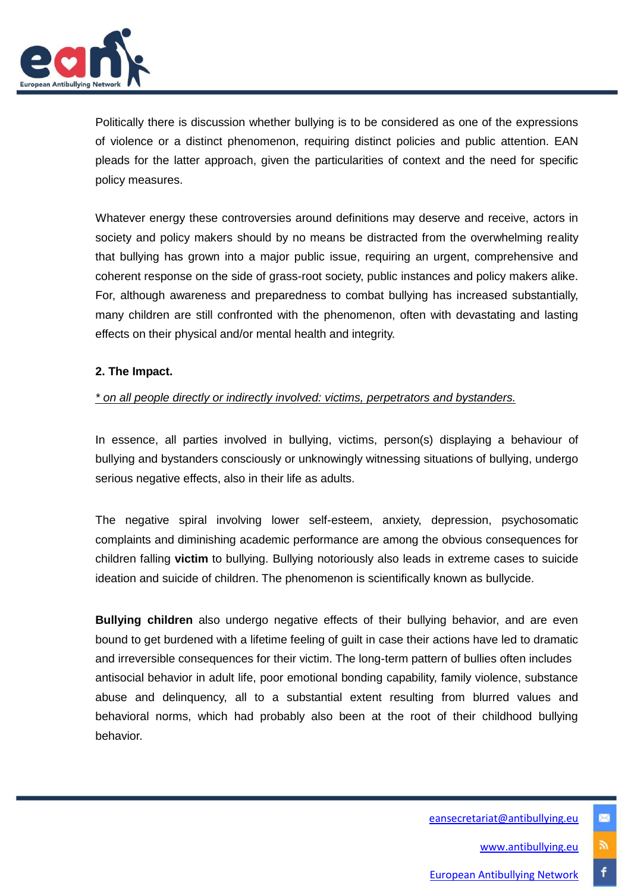

Politically there is discussion whether bullying is to be considered as one of the expressions of violence or a distinct phenomenon, requiring distinct policies and public attention. EAN pleads for the latter approach, given the particularities of context and the need for specific policy measures.

Whatever energy these controversies around definitions may deserve and receive, actors in society and policy makers should by no means be distracted from the overwhelming reality that bullying has grown into a major public issue, requiring an urgent, comprehensive and coherent response on the side of grass-root society, public instances and policy makers alike. For, although awareness and preparedness to combat bullying has increased substantially, many children are still confronted with the phenomenon, often with devastating and lasting effects on their physical and/or mental health and integrity.

#### **2. The Impact.**

#### *\* on all people directly or indirectly involved: victims, perpetrators and bystanders.*

In essence, all parties involved in bullying, victims, person(s) displaying a behaviour of bullying and bystanders consciously or unknowingly witnessing situations of bullying, undergo serious negative effects, also in their life as adults.

The negative spiral involving lower self-esteem, anxiety, depression, psychosomatic complaints and diminishing academic performance are among the obvious consequences for children falling **victim** to bullying. Bullying notoriously also leads in extreme cases to suicide ideation and suicide of children. The phenomenon is scientifically known as bullycide.

**Bullying children** also undergo negative effects of their bullying behavior, and are even bound to get burdened with a lifetime feeling of guilt in case their actions have led to dramatic and irreversible consequences for their victim. The long-term pattern of bullies often includes antisocial behavior in adult life, poor emotional bonding capability, family violence, substance abuse and delinquency, all to a substantial extent resulting from blurred values and behavioral norms, which had probably also been at the root of their childhood bullying behavior.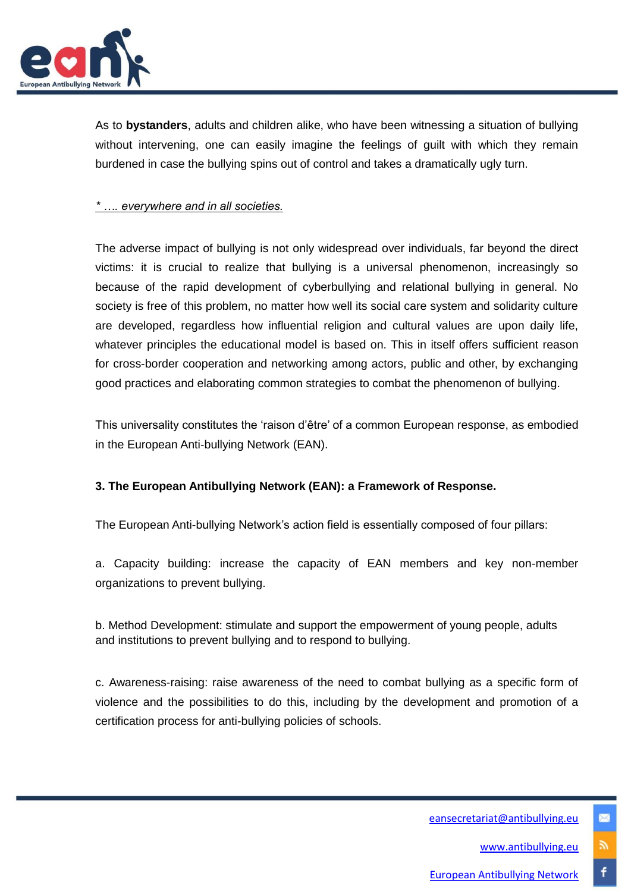

As to **bystanders**, adults and children alike, who have been witnessing a situation of bullying without intervening, one can easily imagine the feelings of guilt with which they remain burdened in case the bullying spins out of control and takes a dramatically ugly turn.

## *\* …. everywhere and in all societies.*

The adverse impact of bullying is not only widespread over individuals, far beyond the direct victims: it is crucial to realize that bullying is a universal phenomenon, increasingly so because of the rapid development of cyberbullying and relational bullying in general. No society is free of this problem, no matter how well its social care system and solidarity culture are developed, regardless how influential religion and cultural values are upon daily life, whatever principles the educational model is based on. This in itself offers sufficient reason for cross-border cooperation and networking among actors, public and other, by exchanging good practices and elaborating common strategies to combat the phenomenon of bullying.

This universality constitutes the 'raison d'être' of a common European response, as embodied in the European Anti-bullying Network (EAN).

## **3. The European Antibullying Network (EAN): a Framework of Response.**

The European Anti-bullying Network's action field is essentially composed of four pillars:

a. Capacity building: increase the capacity of EAN members and key non-member organizations to prevent bullying.

b. Method Development: stimulate and support the empowerment of young people, adults and institutions to prevent bullying and to respond to bullying.

c. Awareness-raising: raise awareness of the need to combat bullying as a specific form of violence and the possibilities to do this, including by the development and promotion of a certification process for anti-bullying policies of schools.

## [eansecretariat@antibullying.eu](mailto:eansecretariat@antibullying.eu)

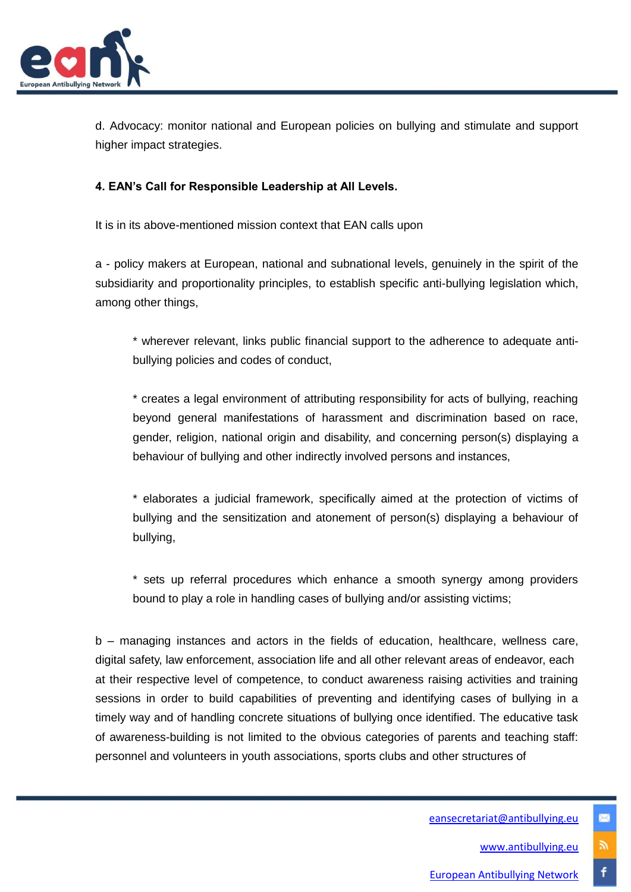

d. Advocacy: monitor national and European policies on bullying and stimulate and support higher impact strategies.

# **4. EAN's Call for Responsible Leadership at All Levels.**

It is in its above-mentioned mission context that EAN calls upon

a - policy makers at European, national and subnational levels, genuinely in the spirit of the subsidiarity and proportionality principles, to establish specific anti-bullying legislation which, among other things,

\* wherever relevant, links public financial support to the adherence to adequate antibullying policies and codes of conduct,

\* creates a legal environment of attributing responsibility for acts of bullying, reaching beyond general manifestations of harassment and discrimination based on race, gender, religion, national origin and disability, and concerning person(s) displaying a behaviour of bullying and other indirectly involved persons and instances,

\* elaborates a judicial framework, specifically aimed at the protection of victims of bullying and the sensitization and atonement of person(s) displaying a behaviour of bullying,

\* sets up referral procedures which enhance a smooth synergy among providers bound to play a role in handling cases of bullying and/or assisting victims;

b – managing instances and actors in the fields of education, healthcare, wellness care, digital safety, law enforcement, association life and all other relevant areas of endeavor, each at their respective level of competence, to conduct awareness raising activities and training sessions in order to build capabilities of preventing and identifying cases of bullying in a timely way and of handling concrete situations of bullying once identified. The educative task of awareness-building is not limited to the obvious categories of parents and teaching staff: personnel and volunteers in youth associations, sports clubs and other structures of

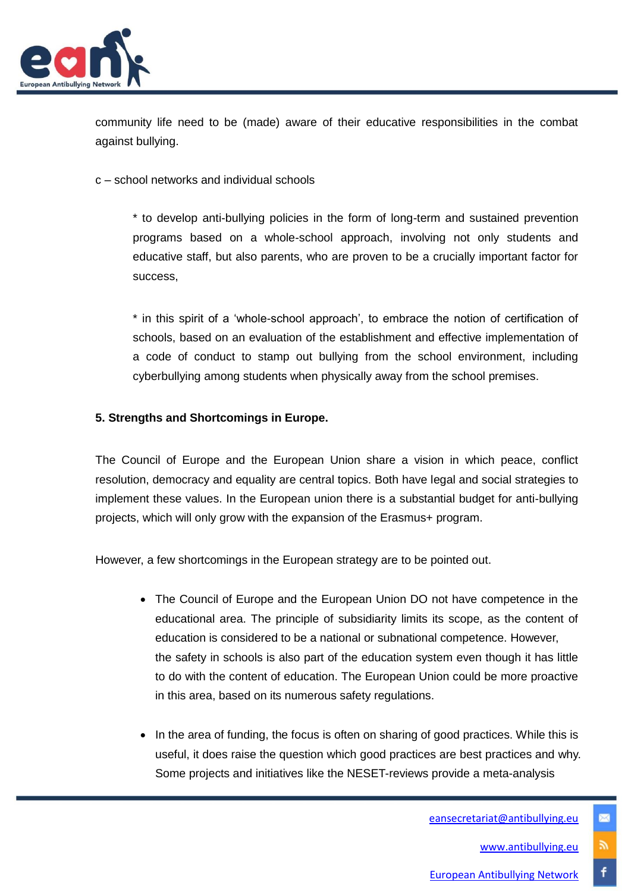

community life need to be (made) aware of their educative responsibilities in the combat against bullying.

c – school networks and individual schools

\* to develop anti-bullying policies in the form of long-term and sustained prevention programs based on a whole-school approach, involving not only students and educative staff, but also parents, who are proven to be a crucially important factor for success,

\* in this spirit of a 'whole-school approach', to embrace the notion of certification of schools, based on an evaluation of the establishment and effective implementation of a code of conduct to stamp out bullying from the school environment, including cyberbullying among students when physically away from the school premises.

## **5. Strengths and Shortcomings in Europe.**

The Council of Europe and the European Union share a vision in which peace, conflict resolution, democracy and equality are central topics. Both have legal and social strategies to implement these values. In the European union there is a substantial budget for anti-bullying projects, which will only grow with the expansion of the Erasmus+ program.

However, a few shortcomings in the European strategy are to be pointed out.

- The Council of Europe and the European Union DO not have competence in the educational area. The principle of subsidiarity limits its scope, as the content of education is considered to be a national or subnational competence. However, the safety in schools is also part of the education system even though it has little to do with the content of education. The European Union could be more proactive in this area, based on its numerous safety regulations.
- In the area of funding, the focus is often on sharing of good practices. While this is useful, it does raise the question which good practices are best practices and why. Some projects and initiatives like the NESET-reviews provide a meta-analysis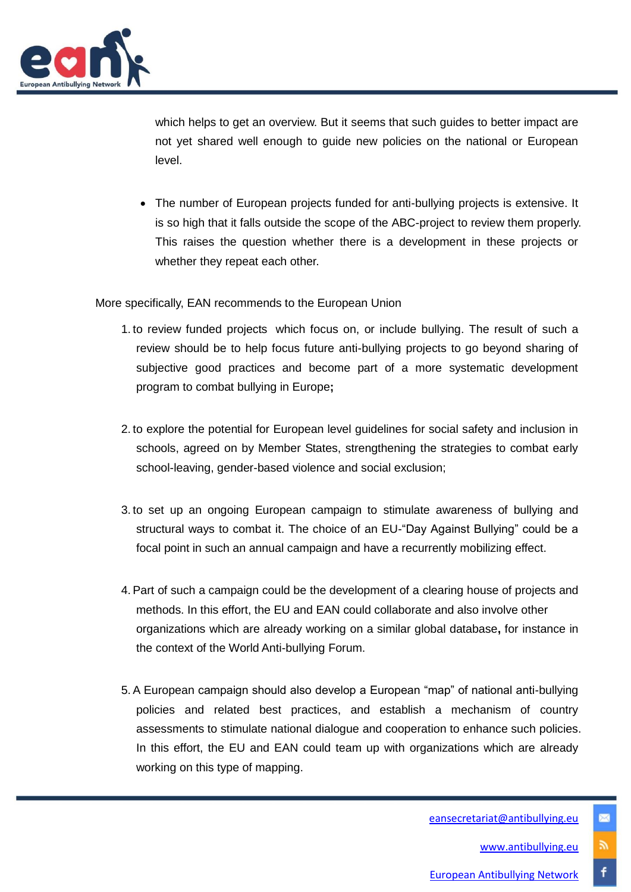

which helps to get an overview. But it seems that such guides to better impact are not yet shared well enough to guide new policies on the national or European level.

 The number of European projects funded for anti-bullying projects is extensive. It is so high that it falls outside the scope of the ABC-project to review them properly. This raises the question whether there is a development in these projects or whether they repeat each other.

More specifically, EAN recommends to the European Union

- 1. to review funded projects which focus on, or include bullying. The result of such a review should be to help focus future anti-bullying projects to go beyond sharing of subjective good practices and become part of a more systematic development program to combat bullying in Europe**;**
- 2. to explore the potential for European level guidelines for social safety and inclusion in schools, agreed on by Member States, strengthening the strategies to combat early school-leaving, gender-based violence and social exclusion;
- 3. to set up an ongoing European campaign to stimulate awareness of bullying and structural ways to combat it. The choice of an EU-"Day Against Bullying" could be a focal point in such an annual campaign and have a recurrently mobilizing effect.
- 4. Part of such a campaign could be the development of a clearing house of projects and methods. In this effort, the EU and EAN could collaborate and also involve other organizations which are already working on a similar global database**,** for instance in the context of the World Anti-bullying Forum.
- 5. A European campaign should also develop a European "map" of national anti-bullying policies and related best practices, and establish a mechanism of country assessments to stimulate national dialogue and cooperation to enhance such policies. In this effort, the EU and EAN could team up with organizations which are already working on this type of mapping.